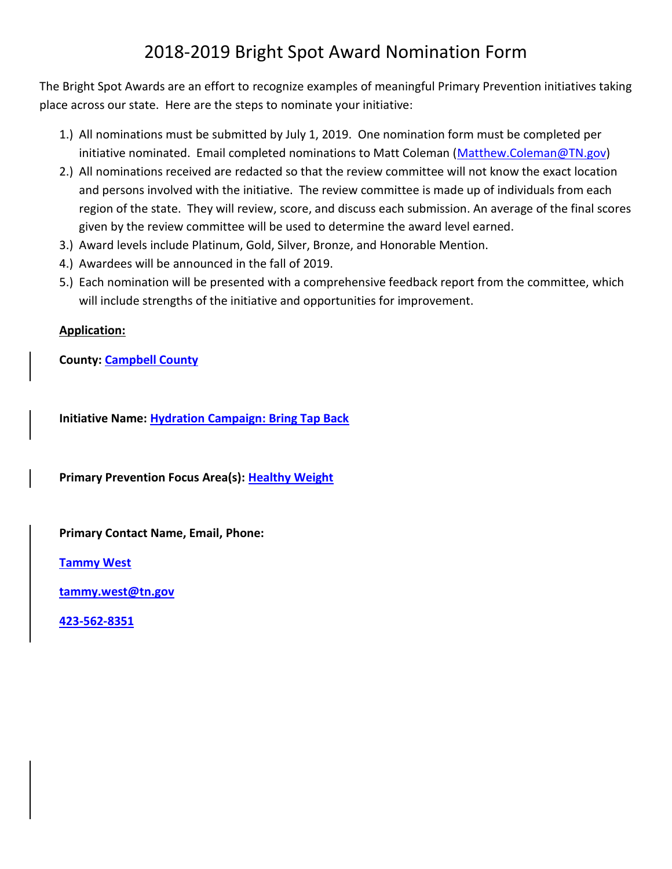## 2018-2019 Bright Spot Award Nomination Form

The Bright Spot Awards are an effort to recognize examples of meaningful Primary Prevention initiatives taking place across our state. Here are the steps to nominate your initiative:

- 1.) All nominations must be submitted by July 1, 2019. One nomination form must be completed per initiative nominated. Email completed nominations to Matt Coleman [\(Matthew.Coleman@TN.gov\)](mailto:Matthew.Coleman@TN.gov)
- 2.) All nominations received are redacted so that the review committee will not know the exact location and persons involved with the initiative. The review committee is made up of individuals from each region of the state. They will review, score, and discuss each submission. An average of the final scores given by the review committee will be used to determine the award level earned.
- 3.) Award levels include Platinum, Gold, Silver, Bronze, and Honorable Mention.
- 4.) Awardees will be announced in the fall of 2019.
- 5.) Each nomination will be presented with a comprehensive feedback report from the committee, which will include strengths of the initiative and opportunities for improvement.

## **Application:**

**County: Campbell County** 

**Initiative Name: Hydration Campaign: Bring Tap Back**

**Primary Prevention Focus Area(s): Healthy Weight**

**Primary Contact Name, Email, Phone:** 

**Tammy West**

**[tammy.west@tn.gov](mailto:tammy.west@tn.gov)**

**423-562-8351**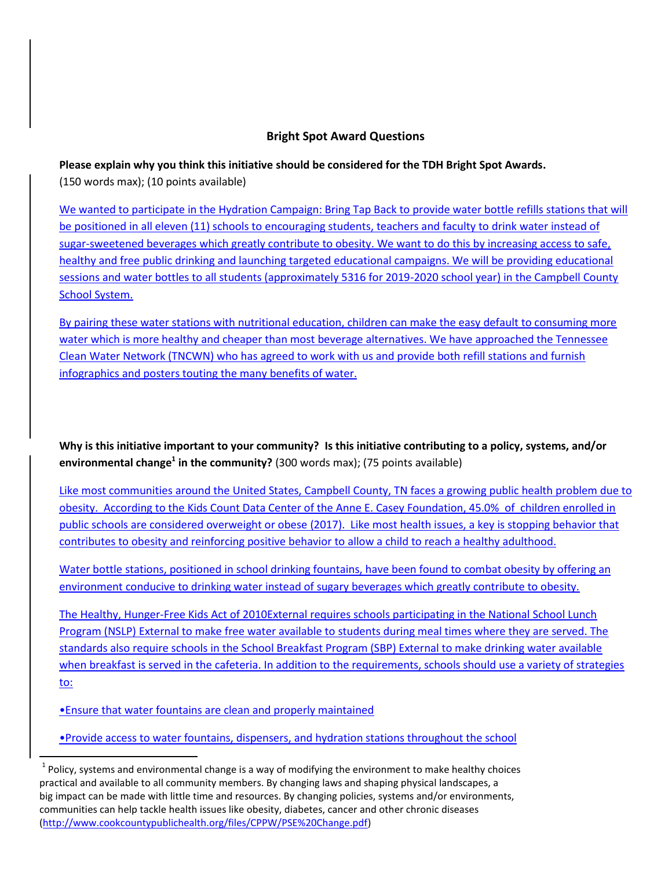## **Bright Spot Award Questions**

**Please explain why you think this initiative should be considered for the TDH Bright Spot Awards.** (150 words max); (10 points available)

We wanted to participate in the Hydration Campaign: Bring Tap Back to provide water bottle refills stations that will be positioned in all eleven (11) schools to encouraging students, teachers and faculty to drink water instead of sugar-sweetened beverages which greatly contribute to obesity. We want to do this by increasing access to safe, healthy and free public drinking and launching targeted educational campaigns. We will be providing educational sessions and water bottles to all students (approximately 5316 for 2019-2020 school year) in the Campbell County School System.

By pairing these water stations with nutritional education, children can make the easy default to consuming more water which is more healthy and cheaper than most beverage alternatives. We have approached the Tennessee Clean Water Network (TNCWN) who has agreed to work with us and provide both refill stations and furnish infographics and posters touting the many benefits of water.

**Why is this initiative important to your community? Is this initiative contributing to a policy, systems, and/or environmental change<sup>1</sup> in the community?** (300 words max); (75 points available)

Like most communities around the United States, Campbell County, TN faces a growing public health problem due to obesity. According to the Kids Count Data Center of the Anne E. Casey Foundation, 45.0% of children enrolled in public schools are considered overweight or obese (2017). Like most health issues, a key is stopping behavior that contributes to obesity and reinforcing positive behavior to allow a child to reach a healthy adulthood.

Water bottle stations, positioned in school drinking fountains, have been found to combat obesity by offering an environment conducive to drinking water instead of sugary beverages which greatly contribute to obesity.

The Healthy, Hunger-Free Kids Act of 2010External requires schools participating in the National School Lunch Program (NSLP) External to make free water available to students during meal times where they are served. The standards also require schools in the School Breakfast Program (SBP) External to make drinking water available when breakfast is served in the cafeteria. In addition to the requirements, schools should use a variety of strategies to:

•Ensure that water fountains are clean and properly maintained

l

•Provide access to water fountains, dispensers, and hydration stations throughout the school

 $^{1}$  Policy, systems and environmental change is a way of modifying the environment to make healthy choices practical and available to all community members. By changing laws and shaping physical landscapes, a big impact can be made with little time and resources. By changing policies, systems and/or environments, communities can help tackle health issues like obesity, diabetes, cancer and other chronic diseases [\(http://www.cookcountypublichealth.org/files/CPPW/PSE%20Change.pdf\)](http://www.cookcountypublichealth.org/files/CPPW/PSE%20Change.pdf)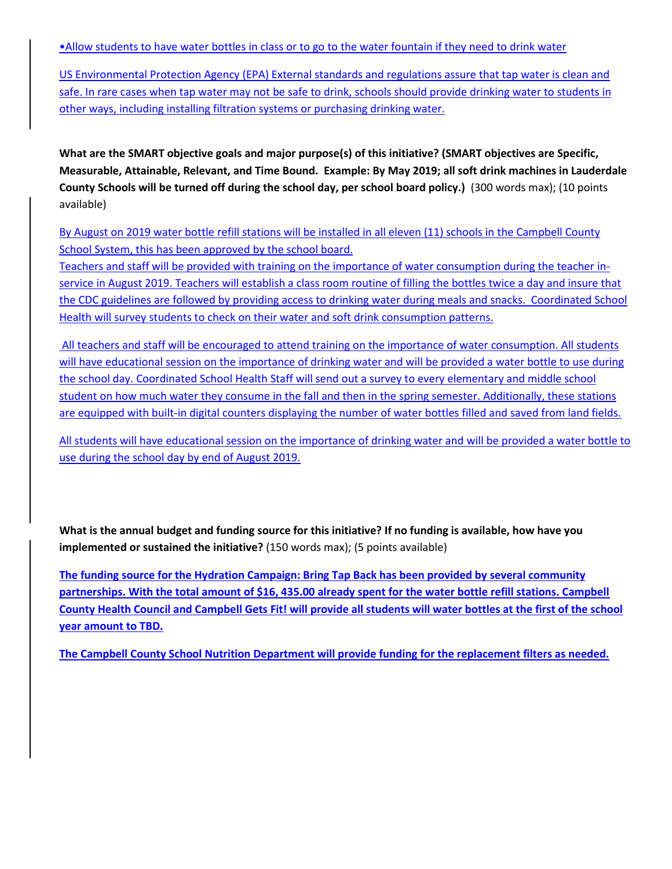•Allow students to have water bottles in class or to go to the water fountain if they need to drink water

US Environmental Protection Agency (EPA) External standards and regulations assure that tap water is clean and safe. In rare cases when tap water may not be safe to drink, schools should provide drinking water to students in other ways, including installing filtration systems or purchasing drinking water.

**What are the SMART objective goals and major purpose(s) of this initiative? (SMART objectives are Specific, Measurable, Attainable, Relevant, and Time Bound. Example: By May 2019; all soft drink machines in Lauderdale County Schools will be turned off during the school day, per school board policy.)** (300 words max); (10 points available)

By August on 2019 water bottle refill stations will be installed in all eleven (11) schools in the Campbell County School System, this has been approved by the school board.

Teachers and staff will be provided with training on the importance of water consumption during the teacher inservice in August 2019. Teachers will establish a class room routine of filling the bottles twice a day and insure that the CDC guidelines are followed by providing access to drinking water during meals and snacks. Coordinated School Health will survey students to check on their water and soft drink consumption patterns.

All teachers and staff will be encouraged to attend training on the importance of water consumption. All students will have educational session on the importance of drinking water and will be provided a water bottle to use during the school day. Coordinated School Health Staff will send out a survey to every elementary and middle school student on how much water they consume in the fall and then in the spring semester. Additionally, these stations are equipped with built-in digital counters displaying the number of water bottles filled and saved from land fields.

All students will have educational session on the importance of drinking water and will be provided a water bottle to use during the school day by end of August 2019.

**What is the annual budget and funding source for this initiative? If no funding is available, how have you implemented or sustained the initiative?** (150 words max); (5 points available)

**The funding source for the Hydration Campaign: Bring Tap Back has been provided by several community partnerships. With the total amount of \$16, 435.00 already spent for the water bottle refill stations. Campbell County Health Council and Campbell Gets Fit! will provide all students will water bottles at the first of the school year amount to TBD.** 

**The Campbell County School Nutrition Department will provide funding for the replacement filters as needed.**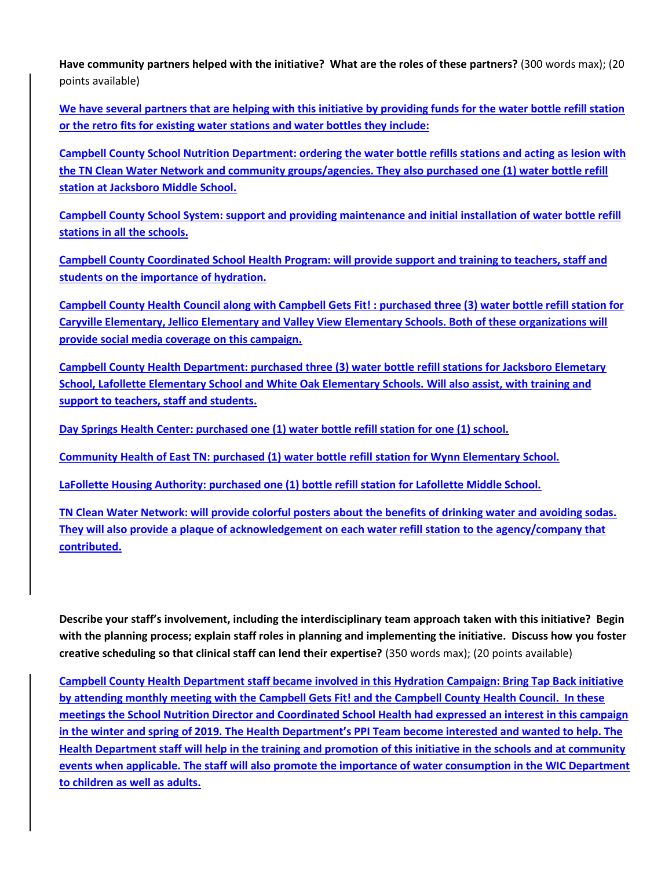**Have community partners helped with the initiative? What are the roles of these partners?** (300 words max); (20 points available)

**We have several partners that are helping with this initiative by providing funds for the water bottle refill station or the retro fits for existing water stations and water bottles they include:** 

**Campbell County School Nutrition Department: ordering the water bottle refills stations and acting as lesion with the TN Clean Water Network and community groups/agencies. They also purchased one (1) water bottle refill station at Jacksboro Middle School.** 

**Campbell County School System: support and providing maintenance and initial installation of water bottle refill stations in all the schools.** 

**Campbell County Coordinated School Health Program: will provide support and training to teachers, staff and students on the importance of hydration.** 

**Campbell County Health Council along with Campbell Gets Fit! : purchased three (3) water bottle refill station for Caryville Elementary, Jellico Elementary and Valley View Elementary Schools. Both of these organizations will provide social media coverage on this campaign.** 

**Campbell County Health Department: purchased three (3) water bottle refill stations for Jacksboro Elemetary School, Lafollette Elementary School and White Oak Elementary Schools. Will also assist, with training and support to teachers, staff and students.** 

**Day Springs Health Center: purchased one (1) water bottle refill station for one (1) school.** 

**Community Health of East TN: purchased (1) water bottle refill station for Wynn Elementary School.** 

**LaFollette Housing Authority: purchased one (1) bottle refill station for Lafollette Middle School.** 

**TN Clean Water Network: will provide colorful posters about the benefits of drinking water and avoiding sodas. They will also provide a plaque of acknowledgement on each water refill station to the agency/company that contributed.** 

**Describe your staff's involvement, including the interdisciplinary team approach taken with this initiative? Begin with the planning process; explain staff roles in planning and implementing the initiative. Discuss how you foster creative scheduling so that clinical staff can lend their expertise?** (350 words max); (20 points available)

**Campbell County Health Department staff became involved in this Hydration Campaign: Bring Tap Back initiative by attending monthly meeting with the Campbell Gets Fit! and the Campbell County Health Council. In these meetings the School Nutrition Director and Coordinated School Health had expressed an interest in this campaign in the winter and spring of 2019. The Health Department's PPI Team become interested and wanted to help. The Health Department staff will help in the training and promotion of this initiative in the schools and at community events when applicable. The staff will also promote the importance of water consumption in the WIC Department to children as well as adults.**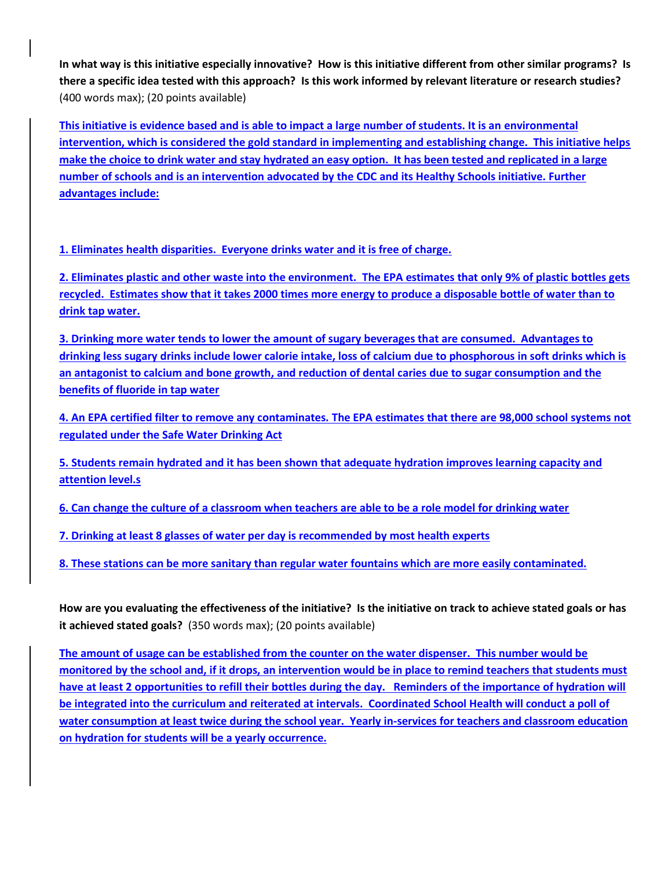**In what way is this initiative especially innovative? How is this initiative different from other similar programs? Is there a specific idea tested with this approach? Is this work informed by relevant literature or research studies?**  (400 words max); (20 points available)

**This initiative is evidence based and is able to impact a large number of students. It is an environmental intervention, which is considered the gold standard in implementing and establishing change. This initiative helps make the choice to drink water and stay hydrated an easy option. It has been tested and replicated in a large number of schools and is an intervention advocated by the CDC and its Healthy Schools initiative. Further advantages include:**

**1. Eliminates health disparities. Everyone drinks water and it is free of charge.**

**2. Eliminates plastic and other waste into the environment. The EPA estimates that only 9% of plastic bottles gets recycled. Estimates show that it takes 2000 times more energy to produce a disposable bottle of water than to drink tap water.** 

**3. Drinking more water tends to lower the amount of sugary beverages that are consumed. Advantages to drinking less sugary drinks include lower calorie intake, loss of calcium due to phosphorous in soft drinks which is an antagonist to calcium and bone growth, and reduction of dental caries due to sugar consumption and the benefits of fluoride in tap water**

**4. An EPA certified filter to remove any contaminates. The EPA estimates that there are 98,000 school systems not regulated under the Safe Water Drinking Act**

**5. Students remain hydrated and it has been shown that adequate hydration improves learning capacity and attention level.s**

**6. Can change the culture of a classroom when teachers are able to be a role model for drinking water** 

**7. Drinking at least 8 glasses of water per day is recommended by most health experts**

**8. These stations can be more sanitary than regular water fountains which are more easily contaminated.**

**How are you evaluating the effectiveness of the initiative? Is the initiative on track to achieve stated goals or has it achieved stated goals?** (350 words max); (20 points available)

**The amount of usage can be established from the counter on the water dispenser. This number would be monitored by the school and, if it drops, an intervention would be in place to remind teachers that students must have at least 2 opportunities to refill their bottles during the day. Reminders of the importance of hydration will be integrated into the curriculum and reiterated at intervals. Coordinated School Health will conduct a poll of water consumption at least twice during the school year. Yearly in-services for teachers and classroom education on hydration for students will be a yearly occurrence.**